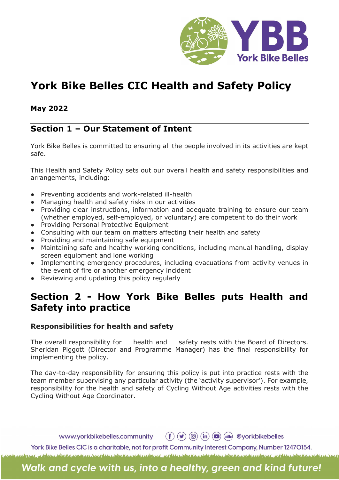

# York Bike Belles CIC Health and Safety Policy

## May 2022

## Section 1 – Our Statement of Intent

York Bike Belles is committed to ensuring all the people involved in its activities are kept safe.

This Health and Safety Policy sets out our overall health and safety responsibilities and arrangements, including:

- Preventing accidents and work-related ill-health
- Managing health and safety risks in our activities
- Providing clear instructions, information and adequate training to ensure our team (whether employed, self-employed, or voluntary) are competent to do their work
- Providing Personal Protective Equipment
- Consulting with our team on matters affecting their health and safety
- Providing and maintaining safe equipment
- Maintaining safe and healthy working conditions, including manual handling, display screen equipment and lone working
- Implementing emergency procedures, including evacuations from activity venues in the event of fire or another emergency incident
- Reviewing and updating this policy regularly

# Section 2 - How York Bike Belles puts Health and Safety into practice

#### Responsibilities for health and safety

The overall responsibility for health and safety rests with the Board of Directors. Sheridan Piggott (Director and Programme Manager) has the final responsibility for implementing the policy.

The day-to-day responsibility for ensuring this policy is put into practice rests with the team member supervising any particular activity (the 'activity supervisor'). For example, responsibility for the health and safety of Cycling Without Age activities rests with the Cycling Without Age Coordinator.

www.yorkbikebelles.community

 $\left(\begin{matrix} f \\ f \end{matrix}\right) \left(\begin{matrix} g \\ g \end{matrix}\right)$   $\left(\begin{matrix} \overline{m} \\ m \end{matrix}\right) \left(\begin{matrix} g \\ g \end{matrix}\right)$   $\left(\begin{matrix} g \\ h \end{matrix}\right)$   $\left(\begin{matrix} g \\ h \end{matrix}\right)$   $\left(\begin{matrix} g \\ h \end{matrix}\right)$   $\left(\begin{matrix} g \\ h \end{matrix}\right)$   $\left(\begin{matrix} g \\ h \end{matrix}\right)$   $\left(\begin{matrix} g \\ h \end{matrix}\right)$   $\left(\begin{matrix} g \\ h \end{matrix}\right)$ 

York Bike Belles CIC is a charitable, not for profit Community Interest Company, Number 12470154. a place that a mode on the place that a mode only only a place that a mode of the standard and subscribe of the

Walk and cycle with us, into a healthy, green and kind future!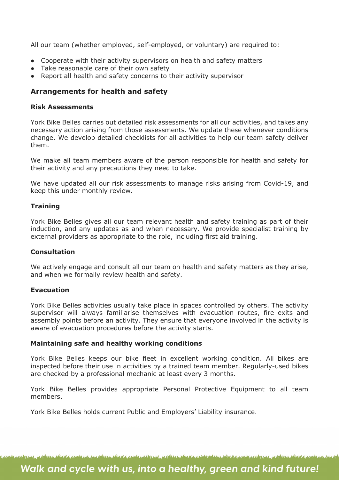All our team (whether employed, self-employed, or voluntary) are required to:

- Cooperate with their activity supervisors on health and safety matters
- Take reasonable care of their own safety
- Report all health and safety concerns to their activity supervisor

### Arrangements for health and safety

#### Risk Assessments

York Bike Belles carries out detailed risk assessments for all our activities, and takes any necessary action arising from those assessments. We update these whenever conditions change. We develop detailed checklists for all activities to help our team safety deliver them.

We make all team members aware of the person responsible for health and safety for their activity and any precautions they need to take.

We have updated all our risk assessments to manage risks arising from Covid-19, and keep this under monthly review.

#### **Training**

York Bike Belles gives all our team relevant health and safety training as part of their induction, and any updates as and when necessary. We provide specialist training by external providers as appropriate to the role, including first aid training.

#### Consultation

We actively engage and consult all our team on health and safety matters as they arise, and when we formally review health and safety.

#### Evacuation

York Bike Belles activities usually take place in spaces controlled by others. The activity supervisor will always familiarise themselves with evacuation routes, fire exits and assembly points before an activity. They ensure that everyone involved in the activity is aware of evacuation procedures before the activity starts.

#### Maintaining safe and healthy working conditions

York Bike Belles keeps our bike fleet in excellent working condition. All bikes are inspected before their use in activities by a trained team member. Regularly-used bikes are checked by a professional mechanic at least every 3 months.

York Bike Belles provides appropriate Personal Protective Equipment to all team members.

York Bike Belles holds current Public and Employers' Liability insurance.

I. <u>MAN STATE AND AN IMPORTANCE STATE AND AND AND AN ANTISERATIVE AND A CONSTRUCTION OF A CONSTRUCTION OF A CONSTRUCTION OF A CONSTRUCTION OF A CONSTRUCTION OF A CONSTRUCTION OF A CONSTRUCTION OF A CONSTRUCTION OF A CONSTRUCT</u>

# Walk and cycle with us, into a healthy, green and kind future!